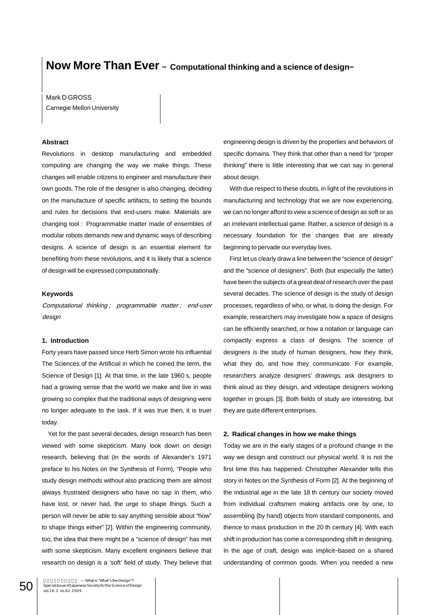# **Now More Than Ever − Computational thinking and a science of design−**

Mark D GROSS Carnegie Mellon University

## **Abstract**

Revolutions in desktop manufacturing and embedded computing are changing the way we make things. These changes will enable citizens to engineer and manufacture their own goods. The role of the designer is also changing, deciding on the manufacture of specific artifacts, to setting the bounds and rules for decisions that end-users make. Materials are changing tool : Programmable matter made of ensembles of modular robots demands new and dynamic ways of describing designs. A science of design is an essential element for benefiting from these revolutions, and it is likely that a science of design will be expressed computationally.

## **Keywords**

Computational thinking ; programmable matter ; end-user design

## **1. Introduction**

Forty years have passed since Herb Simon wrote his influential The Sciences of the Artificial in which he coined the term, the Science of Design [1]. At that time, in the late 1960 s, people had a growing sense that the world we make and live in was growing so complex that the traditional ways of designing were no longer adequate to the task. If it was true then, it is truer today.

Yet for the past several decades, design research has been viewed with some skepticism. Many look down on design research, believing that (in the words of Alexander's 1971 preface to his Notes on the Synthesis of Form), "People who study design methods without also practicing them are almost always frustrated designers who have no sap in them, who have lost, or never had, the urge to shape things. Such a person will never be able to say anything sensible about "how" to shape things either" [2]. Within the engineering community, too, the idea that there might be a "science of design" has met with some skepticism. Many excellent engineers believe that research on design is a 'soft' field of study. They believe that engineering design is driven by the properties and behaviors of specific domains. They think that other than a need for "proper thinking" there is little interesting that we can say in general about design.

With due respect to these doubts, in light of the revolutions in manufacturing and technology that we are now experiencing, we can no longer afford to view a science of design as soft or as an irrelevant intellectual game. Rather, a science of design is a necessary foundation for the changes that are already beginning to pervade our everyday lives.

First let us clearly draw a line between the "science of design" and the "science of designers". Both (but especially the latter) have been the subjects of a great deal of research over the past several decades. The science of design is the study of design processes, regardless of who, or what, is doing the design. For example, researchers may investigate how a space of designs can be efficiently searched, or how a notation or language can compactly express a class of designs. The science of designers is the study of human designers, how they think, what they do, and how they communicate. For example, researchers analyze designers' drawings, ask designers to think aloud as they design, and videotape designers working together in groups [3]. Both fields of study are interesting, but they are quite different enterprises.

## **2. Radical changes in how we make things**

Today we are in the early stages of a profound change in the way we design and construct our physical world. It is not the first time this has happened. Christopher Alexander tells this story in Notes on the Synthesis of Form [2]. At the beginning of the industrial age in the late 18 th century our society moved from individual craftsmen making artifacts one by one, to assembling (by hand) objects from standard components, and thence to mass production in the 20 th century [4]. With each shift in production has come a corresponding shift in designing. In the age of craft, design was implicit−based on a shared understanding of common goods. When you needed a new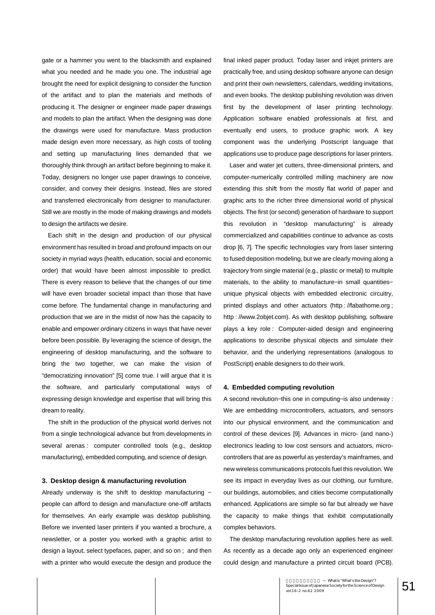gate or a hammer you went to the blacksmith and explained what you needed and he made you one. The industrial age brought the need for explicit designing to consider the function of the artifact and to plan the materials and methods of producing it. The designer or engineer made paper drawings and models to plan the artifact. When the designing was done the drawings were used for manufacture. Mass production made design even more necessary, as high costs of tooling and setting up manufacturing lines demanded that we thoroughly think through an artifact before beginning to make it. Today, designers no longer use paper drawings to conceive, consider, and convey their designs. Instead, files are stored and transferred electronically from designer to manufacturer. Still we are mostly in the mode of making drawings and models to design the artifacts we desire.

Each shift in the design and production of our physical environment has resulted in broad and profound impacts on our society in myriad ways (health, education, social and economic order) that would have been almost impossible to predict. There is every reason to believe that the changes of our time will have even broader societal impact than those that have come before. The fundamental change in manufacturing and production that we are in the midst of now has the capacity to enable and empower ordinary citizens in ways that have never before been possible. By leveraging the science of design, the engineering of desktop manufacturing, and the software to bring the two together, we can make the vision of "democratizing innovation" [5] come true. I will argue that it is the software, and particularly computational ways of expressing design knowledge and expertise that will bring this dream to reality.

The shift in the production of the physical world derives not from a single technological advance but from developments in several arenas : computer controlled tools (e.g., desktop manufacturing), embedded computing, and science of design.

#### **3. Desktop design & manufacturing revolution**

Already underway is the shift to desktop manufacturing − people can afford to design and manufacture one-off artifacts for themselves. An early example was desktop publishing. Before we invented laser printers if you wanted a brochure, a newsletter, or a poster you worked with a graphic artist to design a layout, select typefaces, paper, and so on ; and then with a printer who would execute the design and produce the final inked paper product. Today laser and inkjet printers are practically free, and using desktop software anyone can design and print their own newsletters, calendars, wedding invitations, and even books. The desktop publishing revolution was driven first by the development of laser printing technology. Application software enabled professionals at first, and eventually end users, to produce graphic work. A key component was the underlying Postscript language that applications use to produce page descriptions for laser printers.

Laser and water jet cutters, three-dimensional printers, and computer-numerically controlled milling machinery are now extending this shift from the mostly flat world of paper and graphic arts to the richer three dimensional world of physical objects. The first (or second) generation of hardware to support this revolution in "desktop manufacturing" is already commercialized and capabilities continue to advance as costs drop [6, 7]. The specific technologies vary from laser sintering to fused deposition modeling, but we are clearly moving along a trajectory from single material (e.g., plastic or metal) to multiple materials, to the ability to manufacture−in small quantities− unique physical objects with embedded electronic circuitry, printed displays and other actuators (http://fabathome.org ; http : //www.2objet.com). As with desktop publishing, software plays a key role : Computer-aided design and engineering applications to describe physical objects and simulate their behavior, and the underlying representations (analogous to PostScript) enable designers to do their work.

## **4. Embedded computing revolution**

A second revolution−this one in computing−is also underway : We are embedding microcontrollers, actuators, and sensors into our physical environment, and the communication and control of these devices [9]. Advances in micro- (and nano-) electronics leading to low cost sensors and actuators, microcontrollers that are as powerful as yesterday's mainframes, and new wireless communications protocols fuel this revolution. We see its impact in everyday lives as our clothing, our furniture, our buildings, automobiles, and cities become computationally enhanced. Applications are simple so far but already we have the capacity to make things that exhibit computationally complex behaviors.

The desktop manufacturing revolution applies here as well. As recently as a decade ago only an experienced engineer could design and manufacture a printed circuit board (PCB).

> $\begin{array}{c} \text{Whatis ``What's the Design''?} \ \text{5} \ \text{5} \ \text{6} \ \text{5} \ \text{6} \ \text{6} \ \text{6} \ \text{6} \ \text{6} \ \text{7} \ \text{8} \ \text{8} \ \text{7} \ \text{8} \ \text{8} \ \text{8} \ \text{9} \ \text{1} \ \text{1} \ \text{1} \ \text{6} \ \text{-} \ \text{2} \ \text{1} \ \text{1} \ \text{1} \ \text{1} \ \text{2} \ \text{3} \ \text{4} \ \text{1} \ \text{2} \ \text{3} \$ vol.16-2 no.62 2009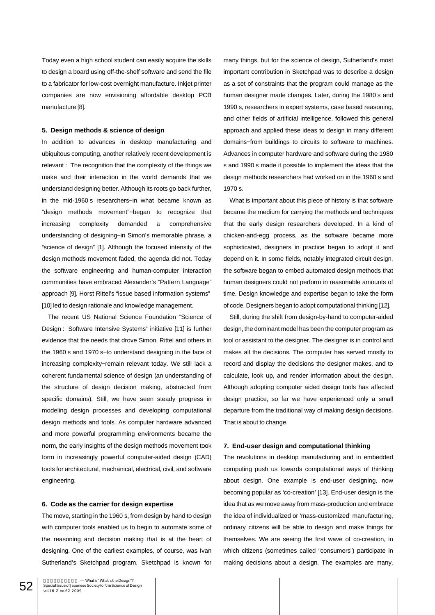Today even a high school student can easily acquire the skills to design a board using off-the-shelf software and send the file to a fabricator for low-cost overnight manufacture. Inkjet printer companies are now envisioning affordable desktop PCB manufacture [8].

#### **5. Design methods & science of design**

In addition to advances in desktop manufacturing and ubiquitous computing, another relatively recent development is relevant : The recognition that the complexity of the things we make and their interaction in the world demands that we understand designing better. Although its roots go back further, in the mid-1960 s researchers−in what became known as "design methods movement"−began to recognize that increasing complexity demanded a comprehensive understanding of designing−in Simon's memorable phrase, a "science of design" [1]. Although the focused intensity of the design methods movement faded, the agenda did not. Today the software engineering and human-computer interaction communities have embraced Alexander's "Pattern Language" approach [9]. Horst Rittel's "issue based information systems" [10] led to design rationale and knowledge management.

The recent US National Science Foundation "Science of Design : Software Intensive Systems" initiative [11] is further evidence that the needs that drove Simon, Rittel and others in the 1960 s and 1970 s−to understand designing in the face of increasing complexity−remain relevant today. We still lack a coherent fundamental science of design (an understanding of the structure of design decision making, abstracted from specific domains). Still, we have seen steady progress in modeling design processes and developing computational design methods and tools. As computer hardware advanced and more powerful programming environments became the norm, the early insights of the design methods movement took form in increasingly powerful computer-aided design (CAD) tools for architectural, mechanical, electrical, civil, and software engineering.

### **6. Code as the carrier for design expertise**

The move, starting in the 1960 s, from design by hand to design with computer tools enabled us to begin to automate some of the reasoning and decision making that is at the heart of designing. One of the earliest examples, of course, was Ivan Sutherland's Sketchpad program. Sketchpad is known for many things, but for the science of design, Sutherland's most important contribution in Sketchpad was to describe a design as a set of constraints that the program could manage as the human designer made changes. Later, during the 1980 s and 1990 s, researchers in expert systems, case based reasoning, and other fields of artificial intelligence, followed this general approach and applied these ideas to design in many different domains−from buildings to circuits to software to machines. Advances in computer hardware and software during the 1980 s and 1990 s made it possible to implement the ideas that the design methods researchers had worked on in the 1960 s and 1970 s.

What is important about this piece of history is that software became the medium for carrying the methods and techniques that the early design researchers developed. In a kind of chicken-and-egg process, as the software became more sophisticated, designers in practice began to adopt it and depend on it. In some fields, notably integrated circuit design, the software began to embed automated design methods that human designers could not perform in reasonable amounts of time. Design knowledge and expertise began to take the form of code. Designers began to adopt computational thinking [12].

Still, during the shift from design-by-hand to computer-aided design, the dominant model has been the computer program as tool or assistant to the designer. The designer is in control and makes all the decisions. The computer has served mostly to record and display the decisions the designer makes, and to calculate, look up, and render information about the design. Although adopting computer aided design tools has affected design practice, so far we have experienced only a small departure from the traditional way of making design decisions. That is about to change.

#### **7. End-user design and computational thinking**

The revolutions in desktop manufacturing and in embedded computing push us towards computational ways of thinking about design. One example is end-user designing, now becoming popular as 'co-creation' [13]. End-user design is the idea that as we move away from mass-production and embrace the idea of individualized or 'mass-customized' manufacturing, ordinary citizens will be able to design and make things for themselves. We are seeing the first wave of co-creation, in which citizens (sometimes called "consumers") participate in making decisions about a design. The examples are many,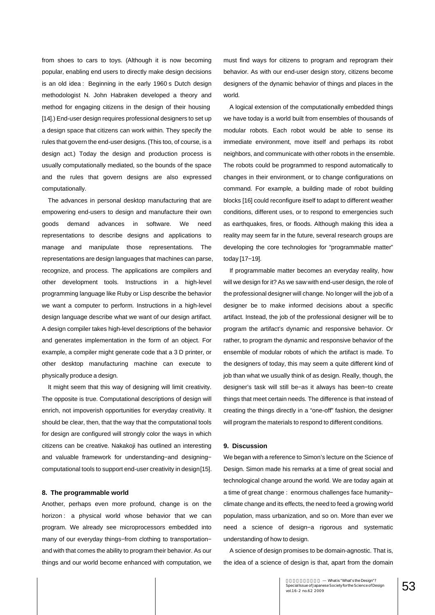from shoes to cars to toys. (Although it is now becoming popular, enabling end users to directly make design decisions is an old idea : Beginning in the early 1960 s Dutch design methodologist N. John Habraken developed a theory and method for engaging citizens in the design of their housing [14].) End-user design requires professional designers to set up a design space that citizens can work within. They specify the rules that govern the end-user designs. (This too, of course, is a design act.) Today the design and production process is usually computationally mediated, so the bounds of the space and the rules that govern designs are also expressed computationally.

The advances in personal desktop manufacturing that are empowering end-users to design and manufacture their own goods demand advances in software. We need representations to describe designs and applications to manage and manipulate those representations. The representations are design languages that machines can parse, recognize, and process. The applications are compilers and other development tools. Instructions in a high-level programming language like Ruby or Lisp describe the behavior we want a computer to perform. Instructions in a high-level design language describe what we want of our design artifact. A design compiler takes high-level descriptions of the behavior and generates implementation in the form of an object. For example, a compiler might generate code that a 3 D printer, or other desktop manufacturing machine can execute to physically produce a design.

It might seem that this way of designing will limit creativity. The opposite is true. Computational descriptions of design will enrich, not impoverish opportunities for everyday creativity. It should be clear, then, that the way that the computational tools for design are configured will strongly color the ways in which citizens can be creative. Nakakoji has outlined an interesting and valuable framework for understanding−and designing− computational tools to support end-user creativity in design[15].

## **8. The programmable world**

Another, perhaps even more profound, change is on the horizon : a physical world whose behavior that we can program. We already see microprocessors embedded into many of our everyday things–from clothing to transportation– and with that comes the ability to program their behavior. As our things and our world become enhanced with computation, we must find ways for citizens to program and reprogram their behavior. As with our end-user design story, citizens become designers of the dynamic behavior of things and places in the world.

A logical extension of the computationally embedded things we have today is a world built from ensembles of thousands of modular robots. Each robot would be able to sense its immediate environment, move itself and perhaps its robot neighbors, and communicate with other robots in the ensemble. The robots could be programmed to respond automatically to changes in their environment, or to change configurations on command. For example, a building made of robot building blocks [16] could reconfigure itself to adapt to different weather conditions, different uses, or to respond to emergencies such as earthquakes, fires, or floods. Although making this idea a reality may seem far in the future, several research groups are developing the core technologies for "programmable matter" today [17−19].

If programmable matter becomes an everyday reality, how will we design for it? As we saw with end-user design, the role of the professional designer will change. No longer will the job of a designer be to make informed decisions about a specific artifact. Instead, the job of the professional designer will be to program the artifact's dynamic and responsive behavior. Or rather, to program the dynamic and responsive behavior of the ensemble of modular robots of which the artifact is made. To the designers of today, this may seem a quite different kind of job than what we usually think of as design. Really, though, the designer's task will still be−as it always has been−to create things that meet certain needs. The difference is that instead of creating the things directly in a "one-off" fashion, the designer will program the materials to respond to different conditions.

#### **9. Discussion**

We began with a reference to Simon's lecture on the Science of Design. Simon made his remarks at a time of great social and technological change around the world. We are today again at a time of great change : enormous challenges face humanity− climate change and its effects, the need to feed a growing world population, mass urbanization, and so on. More than ever we need a science of design−a rigorous and systematic understanding of how to design.

A science of design promises to be domain-agnostic. That is, the idea of a science of design is that, apart from the domain